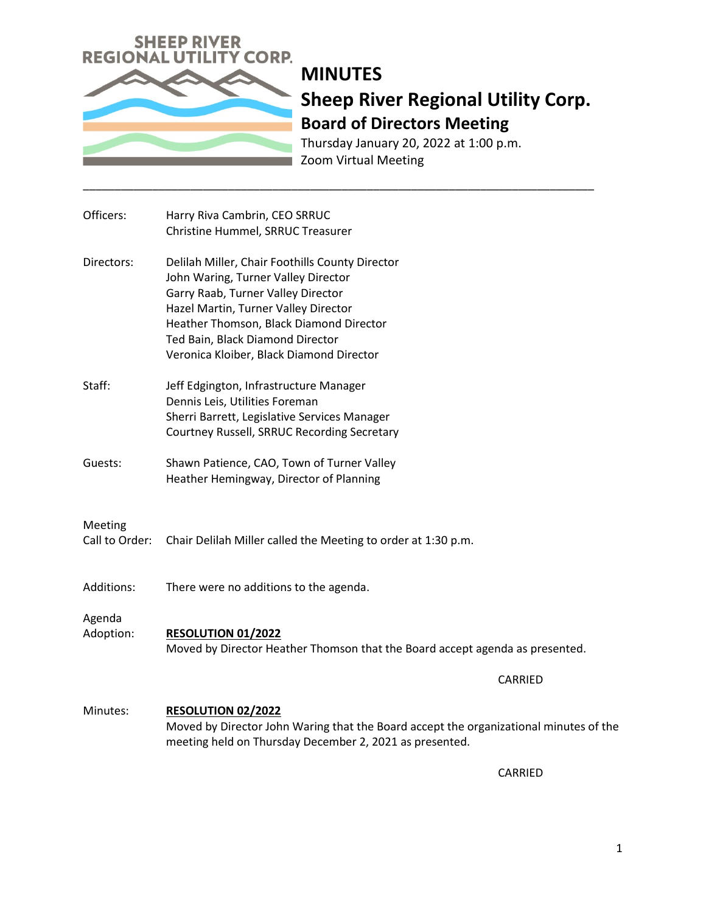

Thursday January 20, 2022 at 1:00 p.m. Zoom Virtual Meeting

| Officers:      | Harry Riva Cambrin, CEO SRRUC                                                                             |
|----------------|-----------------------------------------------------------------------------------------------------------|
|                | Christine Hummel, SRRUC Treasurer                                                                         |
| Directors:     | Delilah Miller, Chair Foothills County Director                                                           |
|                | John Waring, Turner Valley Director                                                                       |
|                | Garry Raab, Turner Valley Director                                                                        |
|                | Hazel Martin, Turner Valley Director                                                                      |
|                | Heather Thomson, Black Diamond Director                                                                   |
|                | Ted Bain, Black Diamond Director                                                                          |
|                | Veronica Kloiber, Black Diamond Director                                                                  |
| Staff:         | Jeff Edgington, Infrastructure Manager                                                                    |
|                | Dennis Leis, Utilities Foreman                                                                            |
|                | Sherri Barrett, Legislative Services Manager                                                              |
|                | Courtney Russell, SRRUC Recording Secretary                                                               |
| Guests:        | Shawn Patience, CAO, Town of Turner Valley                                                                |
|                | Heather Hemingway, Director of Planning                                                                   |
|                |                                                                                                           |
| Meeting        |                                                                                                           |
| Call to Order: | Chair Delilah Miller called the Meeting to order at 1:30 p.m.                                             |
|                |                                                                                                           |
| Additions:     | There were no additions to the agenda.                                                                    |
|                |                                                                                                           |
| Agenda         |                                                                                                           |
| Adoption:      | <b>RESOLUTION 01/2022</b><br>Moved by Director Heather Thomson that the Board accept agenda as presented. |
|                |                                                                                                           |
|                | CARRIED                                                                                                   |
| Minutes:       | <b>RESOLUTION 02/2022</b>                                                                                 |
|                | Moved by Director John Waring that the Board accept the organizational minutes of the                     |
|                | meeting held on Thursday December 2, 2021 as presented.                                                   |
|                |                                                                                                           |

\_\_\_\_\_\_\_\_\_\_\_\_\_\_\_\_\_\_\_\_\_\_\_\_\_\_\_\_\_\_\_\_\_\_\_\_\_\_\_\_\_\_\_\_\_\_\_\_\_\_\_\_\_\_\_\_\_\_\_\_\_\_\_\_\_\_\_\_\_\_\_\_\_\_\_\_\_\_\_\_\_

CARRIED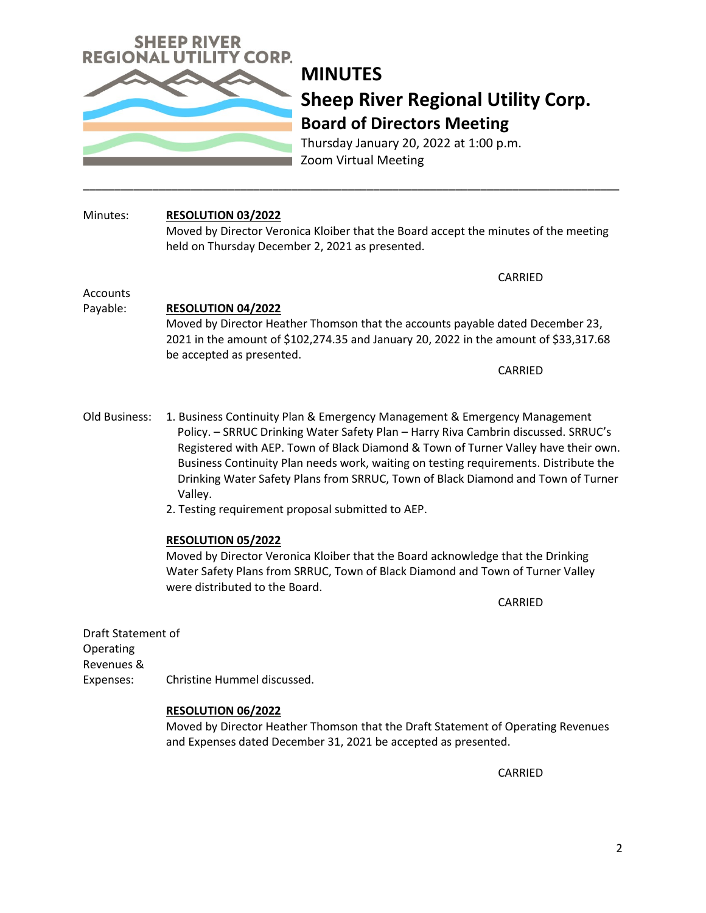

Thursday January 20, 2022 at 1:00 p.m. Zoom Virtual Meeting

## Minutes: **RESOLUTION 03/2022**

Moved by Director Veronica Kloiber that the Board accept the minutes of the meeting held on Thursday December 2, 2021 as presented.

\_\_\_\_\_\_\_\_\_\_\_\_\_\_\_\_\_\_\_\_\_\_\_\_\_\_\_\_\_\_\_\_\_\_\_\_\_\_\_\_\_\_\_\_\_\_\_\_\_\_\_\_\_\_\_\_\_\_\_\_\_\_\_\_\_\_\_\_\_\_\_\_\_\_\_\_\_\_\_\_\_\_\_\_\_

CARRIED

#### Accounts

### Payable: **RESOLUTION 04/2022**

Moved by Director Heather Thomson that the accounts payable dated December 23, 2021 in the amount of \$102,274.35 and January 20, 2022 in the amount of \$33,317.68 be accepted as presented.

CARRIED

- Old Business: 1. Business Continuity Plan & Emergency Management & Emergency Management Policy. – SRRUC Drinking Water Safety Plan – Harry Riva Cambrin discussed. SRRUC's Registered with AEP. Town of Black Diamond & Town of Turner Valley have their own. Business Continuity Plan needs work, waiting on testing requirements. Distribute the Drinking Water Safety Plans from SRRUC, Town of Black Diamond and Town of Turner Valley.
	- 2. Testing requirement proposal submitted to AEP.

### **RESOLUTION 05/2022**

Moved by Director Veronica Kloiber that the Board acknowledge that the Drinking Water Safety Plans from SRRUC, Town of Black Diamond and Town of Turner Valley were distributed to the Board.

CARRIED

Draft Statement of Operating Revenues & Expenses: Christine Hummel discussed.

### **RESOLUTION 06/2022**

Moved by Director Heather Thomson that the Draft Statement of Operating Revenues and Expenses dated December 31, 2021 be accepted as presented.

CARRIED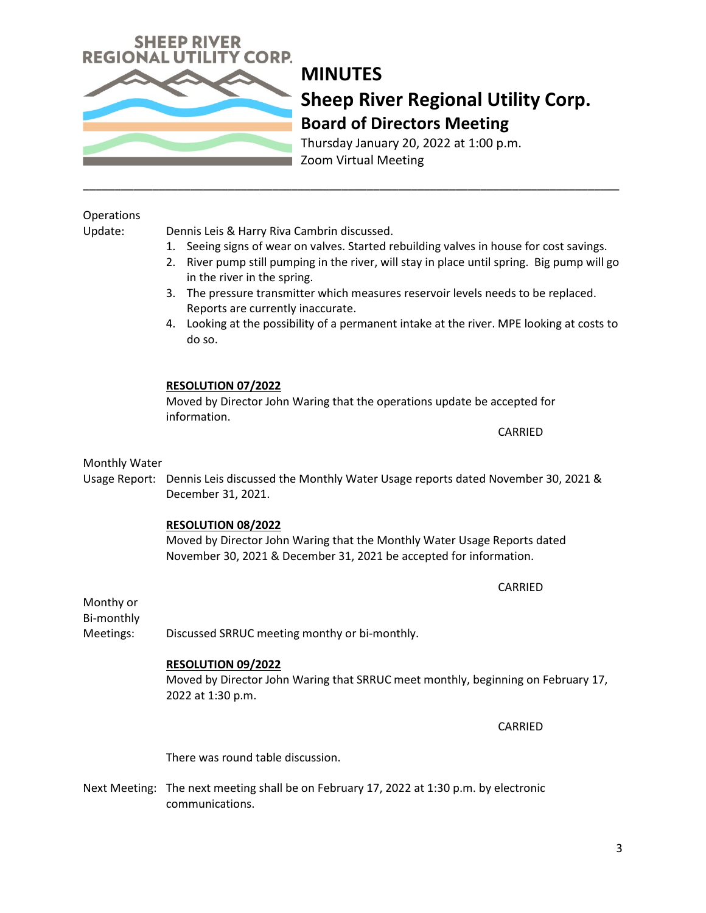Thursday January 20, 2022 at 1:00 p.m. Zoom Virtual Meeting

## **Operations**

Update: Dennis Leis & Harry Riva Cambrin discussed.

1. Seeing signs of wear on valves. Started rebuilding valves in house for cost savings.

\_\_\_\_\_\_\_\_\_\_\_\_\_\_\_\_\_\_\_\_\_\_\_\_\_\_\_\_\_\_\_\_\_\_\_\_\_\_\_\_\_\_\_\_\_\_\_\_\_\_\_\_\_\_\_\_\_\_\_\_\_\_\_\_\_\_\_\_\_\_\_\_\_\_\_\_\_\_\_\_\_\_\_\_\_

- 2. River pump still pumping in the river, will stay in place until spring. Big pump will go in the river in the spring.
- 3. The pressure transmitter which measures reservoir levels needs to be replaced. Reports are currently inaccurate.
- 4. Looking at the possibility of a permanent intake at the river. MPE looking at costs to do so.

### **RESOLUTION 07/2022**

Moved by Director John Waring that the operations update be accepted for information.

CARRIED

Monthly Water

Usage Report: Dennis Leis discussed the Monthly Water Usage reports dated November 30, 2021 & December 31, 2021.

## **RESOLUTION 08/2022**

Moved by Director John Waring that the Monthly Water Usage Reports dated November 30, 2021 & December 31, 2021 be accepted for information.

CARRIED

Monthy or Bi-monthly

Meetings: Discussed SRRUC meeting monthy or bi-monthly.

## **RESOLUTION 09/2022**

Moved by Director John Waring that SRRUC meet monthly, beginning on February 17, 2022 at 1:30 p.m.

CARRIED

There was round table discussion.

Next Meeting: The next meeting shall be on February 17, 2022 at 1:30 p.m. by electronic communications.